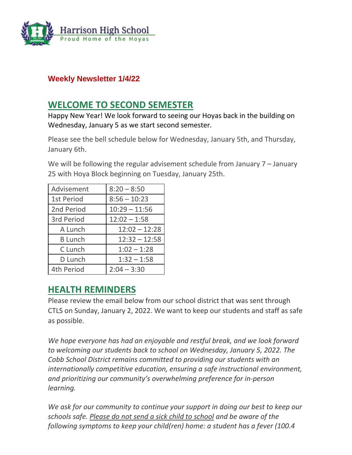

### **Weekly Newsletter 1/4/22**

## **WELCOME TO SECOND SEMESTER**

Happy New Year! We look forward to seeing our Hoyas back in the building on Wednesday, January 5 as we start second semester.

Please see the bell schedule below for Wednesday, January 5th, and Thursday, January 6th.

We will be following the regular advisement schedule from January 7 – January 25 with Hoya Block beginning on Tuesday, January 25th.

| Advisement        | $8:20 - 8:50$   |
|-------------------|-----------------|
| <b>1st Period</b> | $8:56 - 10:23$  |
| 2nd Period        | $10:29 - 11:56$ |
| 3rd Period        | $12:02 - 1:58$  |
| A Lunch           | $12:02 - 12:28$ |
| <b>B</b> Lunch    | $12:32 - 12:58$ |
| C Lunch           | $1:02 - 1:28$   |
| D Lunch           | $1:32 - 1:58$   |
| 4th Period        | $2:04 - 3:30$   |

## **HEALTH REMINDERS**

Please review the email below from our school district that was sent through CTLS on Sunday, January 2, 2022. We want to keep our students and staff as safe as possible.

*We hope everyone has had an enjoyable and restful break, and we look forward to welcoming our students back to school on Wednesday, January 5, 2022. The Cobb School District remains committed to providing our students with an internationally competitive education, ensuring a safe instructional environment, and prioritizing our community's overwhelming preference for in-person learning.*

*We ask for our community to continue your support in doing our best to keep our schools safe. Please do not send a sick child to school and be aware of the following symptoms to keep your child(ren) home: a student has a fever (100.4*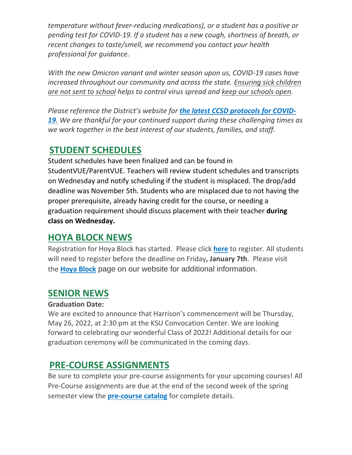*temperature without fever-reducing medications), or a student has a positive or pending test for COVID-19. If a student has a new cough, shortness of breath, or recent changes to taste/smell, we recommend you contact your health professional for guidance.*

*With the new Omicron variant and winter season upon us, COVID-19 cases have increased throughout our community and across the state. Ensuring sick children are not sent to school helps to control virus spread and keep our schools open.*

*Please reference the District's website for [the latest CCSD protocols for COVID-](http://url503.cobbk12.org/ls/click?upn=kYpeu9rJVSU1acS4VG0V9dP8zXnygu7Up5qBE7usQ1jRmGDEuj6uzT9FPcnvQys9X5dnPemZru5Ni9W9eLDPVWqdx7Y5CnPU3sDRwLFgoNVTzAJjhMxjLsC2UioVmB0zHuoWrfuFEXWnswW0YwlPlqD51mg3RcpCzMNZTC87exVClfz38ywlVLaQUk1JwbcLnum6v83SDz-2BzuuJgNjJaeYWYRficDD2uDP1KN7j2ezkwM0eCQD3tT8DTT9Kr3Ia4JshayFgK5cKgMR7EHFvW967xtlTW6ICryGzJAeZnAcpBayTlhFcmHFp-2FE36LP1NubWMIIvD2vhS9UxJfsANWVfwqoZhaQR0SR-2Bz7EHB3gbapI817Fh2qgZpFugYqtNulqtIHYlw39-2B2Bdw8O-2Bqv4pTDOGlrY-2FnvgLIJ-2FBWa-2FxYaZn0ywdGuLcaUo739AzRcffmPMDGwf8Lc-2BV94lEcl7W2jC5cyxdeHP4rdnEC925W9EVDzp5DGwZrzGZw4Yg7JkUCO4Gj9OBePsm8Rg58dfzZE27akrf-2FW3XzjHtcU2dYKzjGvF5apFhxTupUUBoTRL1Tm5a-2F4NFUKGpu90tOZ0OkPZm7CPKPicHvLXobLMVxg-3DGrhO_W-2BfLYUoUwwI1tuGClKRhhPOSepcZIFoXnUIMjiA717kQ1i13BNQTwwJ9cl-2BWArXr6-2FDxoCbNFrRaplJKtN7fZ6-2FE8bjPOMkMWEILWmneC546Y7LwKjlrfPb-2FCFe1e0yS76kx-2BNVYMlC18YWfaWxipcSlKmw1N9KUQ3h8x5Kreit-2Ff1rCvAuI2Yguarb1bXQV3HfpMY9KOuW-2BTyqA-2FxXyNxEKB7YWElGMCcO7vuSNHCbwp3YMa-2B2bxuMC00CGmxL89j5Grjj5pS0VixIQzhrbWA-3D-3D)[19](http://url503.cobbk12.org/ls/click?upn=kYpeu9rJVSU1acS4VG0V9dP8zXnygu7Up5qBE7usQ1jRmGDEuj6uzT9FPcnvQys9X5dnPemZru5Ni9W9eLDPVWqdx7Y5CnPU3sDRwLFgoNVTzAJjhMxjLsC2UioVmB0zHuoWrfuFEXWnswW0YwlPlqD51mg3RcpCzMNZTC87exVClfz38ywlVLaQUk1JwbcLnum6v83SDz-2BzuuJgNjJaeYWYRficDD2uDP1KN7j2ezkwM0eCQD3tT8DTT9Kr3Ia4JshayFgK5cKgMR7EHFvW967xtlTW6ICryGzJAeZnAcpBayTlhFcmHFp-2FE36LP1NubWMIIvD2vhS9UxJfsANWVfwqoZhaQR0SR-2Bz7EHB3gbapI817Fh2qgZpFugYqtNulqtIHYlw39-2B2Bdw8O-2Bqv4pTDOGlrY-2FnvgLIJ-2FBWa-2FxYaZn0ywdGuLcaUo739AzRcffmPMDGwf8Lc-2BV94lEcl7W2jC5cyxdeHP4rdnEC925W9EVDzp5DGwZrzGZw4Yg7JkUCO4Gj9OBePsm8Rg58dfzZE27akrf-2FW3XzjHtcU2dYKzjGvF5apFhxTupUUBoTRL1Tm5a-2F4NFUKGpu90tOZ0OkPZm7CPKPicHvLXobLMVxg-3DGrhO_W-2BfLYUoUwwI1tuGClKRhhPOSepcZIFoXnUIMjiA717kQ1i13BNQTwwJ9cl-2BWArXr6-2FDxoCbNFrRaplJKtN7fZ6-2FE8bjPOMkMWEILWmneC546Y7LwKjlrfPb-2FCFe1e0yS76kx-2BNVYMlC18YWfaWxipcSlKmw1N9KUQ3h8x5Kreit-2Ff1rCvAuI2Yguarb1bXQV3HfpMY9KOuW-2BTyqA-2FxXyNxEKB7YWElGMCcO7vuSNHCbwp3YMa-2B2bxuMC00CGmxL89j5Grjj5pS0VixIQzhrbWA-3D-3D). We are thankful for your continued support during these challenging times as we work together in the best interest of our students, families, and staff.*

## **STUDENT SCHEDULES**

Student schedules have been finalized and can be found in StudentVUE/ParentVUE. Teachers will review student schedules and transcripts on Wednesday and notify scheduling if the student is misplaced. The drop/add deadline was November 5th. Students who are misplaced due to not having the proper prerequisite, already having credit for the course, or needing a graduation requirement should discuss placement with their teacher **during class on Wednesday.**

## **HOYA BLOCK NEWS**

Registration for Hoya Block has started. Please click **[here](http://url503.cobbk12.org/ls/click?upn=Lr5Kj85exJaDj793QUoDMxoBFqYG9jsvxI4LoJlDFzMhUCpXbnVhhqIbIvVR7eDkW2lzE7udnvgKuQAcOzbNvqwOcyAOegilze8a86prJ3fs7WsFbuGo7F-2BRKeWxq3SIuaiP11vaI8L0hwp4wkrNqfoN6fZy3-2Fi0LRAg0lkB8izCeheAI-2F2CyN2u5ExeZNDbS6ji_W-2BfLYUoUwwI1tuGClKRhhPOSepcZIFoXnUIMjiA717kQ1i13BNQTwwJ9cl-2BWArXr6-2FDxoCbNFrRaplJKtN7fZ6-2FE8bjPOMkMWEILWmneC546Y7LwKjlrfPb-2FCFe1e0yStbpg4AkplYXO-2BPifRVsZu7BNdNLp3QC6bxQEWHN0S3Cda-2FCbx-2B-2BMZJsrAGqMgHzyI2z8z4BXcRxBwvC5tfLO1FW-2Br0jgtJOLBm-2FVrHnVwkSdkVbThb1epVeQtF2DFKWXj-2FUTIg-2BVYCpiAlyJ1HbDsg-3D-3D)** to register. All students will need to register before the deadline on Friday**, January 7th**. Please visit the **[Hoya Block](http://url503.cobbk12.org/ls/click?upn=oq5wnnHoD1NAxpT8rNAGXMR1eG7MJW44UQRvGTy3TsrYMq-2B5vCvT-2FZh3QX3QFVG1Zf2WVq3mBUwffgB8KB5Wsg-3D-3DwaSR_W-2BfLYUoUwwI1tuGClKRhhPOSepcZIFoXnUIMjiA717kQ1i13BNQTwwJ9cl-2BWArXr6-2FDxoCbNFrRaplJKtN7fZ6-2FE8bjPOMkMWEILWmneC546Y7LwKjlrfPb-2FCFe1e0ySwfxDcIu7-2BM826GfBMBo4fne3MdONGdV85H7RpjykwnFCr4XPU7azQn2Cp9jq9Rgi4uUBgdfpAYtYzg1O6-2FMQWEELTZhSW-2BnpTcANtUHpECv4D3XIozHrWnPzVQ-2F1JLpJfWpgzO5fIJwXmFPUlS8b-2FA-3D-3D)** page on our website for additional information.

# **SENIOR NEWS**

### **Graduation Date:**

We are excited to announce that Harrison's commencement will be Thursday, May 26, 2022, at 2:30 pm at the KSU Convocation Center. We are looking forward to celebrating our wonderful Class of 2022! Additional details for our graduation ceremony will be communicated in the coming days.

# **PRE-COURSE ASSIGNMENTS**

Be sure to complete your pre-course assignments for your upcoming courses! All Pre-Course assignments are due at the end of the second week of the spring semester view the **[pre-course catalog](http://url503.cobbk12.org/ls/click?upn=lifxRKNE4qaF4JWLXkbAsjh7ycX9GyI4V6qRbFFivNpp-2B3syQ-2BF1CRoHOrZqfnEtQcfUXEzQ4WYketaNTGV340xDrtszQl4MMmDJOpYGkIqOdI9knBrxIYgBj-2By1dR0-2FLDWrEwd9IPGJDTjbe0j9QA-3D-3DqKQv_W-2BfLYUoUwwI1tuGClKRhhPOSepcZIFoXnUIMjiA717kQ1i13BNQTwwJ9cl-2BWArXr6-2FDxoCbNFrRaplJKtN7fZ6-2FE8bjPOMkMWEILWmneC546Y7LwKjlrfPb-2FCFe1e0ySIbmkWGgvT4V6Zh30i55bSkcqkN9OkU6YbtT4rZ4sr4rftoYc-2FF9AVcZ6kzun33RLBzS-2FHuIqcsAmjDykz42DpvwRuIMQwo760bwIrpOheify7ddWDTM0F2N-2BT89q93bh3oylOyGL3BF-2BDNNdyE-2Bukg-3D-3D)** for complete details.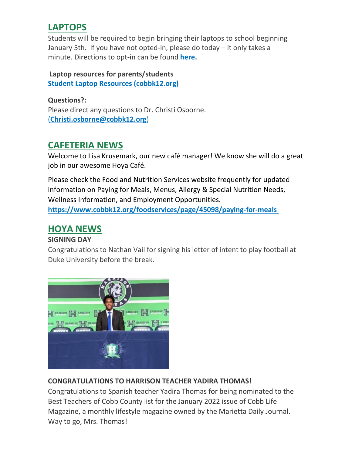# **LAPTOPS**

Students will be required to begin bringing their laptops to school beginning January 5th. If you have not opted-in, please do today – it only takes a minute. Directions to opt-in can be found **[here.](http://url503.cobbk12.org/ls/click?upn=HU5K2q0Fz5ADTGboxPzOzUx-2FoxqvD40X8ef2vsqiBoK5lUpmPrrJUiWhJvXNIfJ270vmIswmX8KcH-2BqvxZwQo6gvxu00a9aZXsbo8PzdGuZO-2FACLIJYdhejZvcbBZazURvjT_W-2BfLYUoUwwI1tuGClKRhhPOSepcZIFoXnUIMjiA717kQ1i13BNQTwwJ9cl-2BWArXr6-2FDxoCbNFrRaplJKtN7fZ6-2FE8bjPOMkMWEILWmneC546Y7LwKjlrfPb-2FCFe1e0yS-2BI3wO-2FmI9yCDT-2FpvLIBwXebGoG3jp167aboMsTmamIJXNjoFVGYf0xtSW86teoMUb-2FrtEQmjOca8B2LFLz396Jdt1IMxU2sAsrJFAnbkJeEG9Dx5dJ39koSn-2FHISf5rwF0PqKZhK0WTb7G5azS9Slw-3D-3D)**

### **Laptop resources for parents/students [Student Laptop Resources \(cobbk12.org\)](http://url503.cobbk12.org/ls/click?upn=oq5wnnHoD1NAxpT8rNAGXLeSSs2oqQ-2BhsGA3S2AoidlfqYpCnN6-2FTWAmCCDZ7Fd0tHb8UCpzRCosnvoUQ1Kpw4zhWA2wpm8gP1uNKhgLY0c-3DLMzm_W-2BfLYUoUwwI1tuGClKRhhPOSepcZIFoXnUIMjiA717kQ1i13BNQTwwJ9cl-2BWArXr6-2FDxoCbNFrRaplJKtN7fZ6-2FE8bjPOMkMWEILWmneC546Y7LwKjlrfPb-2FCFe1e0yShkRvNUMaFlJYaIzuI-2BfXSRDzv7ykyNEX6bC4DEHVrBufceFES0jKBG0liGiLEBAVxmUT6A3rzBEkdWuiNEC48-2Fx6rDru1AlB6L3RkqivxgOo6JZU3zX3yJ0FCQtOTxty1GV2XBoQZSX1ofYUpAWXbw-3D-3D)**

**Questions?:** Please direct any questions to Dr. Christi Osborne. (**[Christi.osborne@cobbk12.org](mailto:Christi.osborne@cobbk12.org)**)

# **CAFETERIA NEWS**

Welcome to Lisa Krusemark, our new café manager! We know she will do a great job in our awesome Hoya Café.

Please check the Food and Nutrition Services website frequently for updated information on Paying for Meals, Menus, Allergy & Special Nutrition Needs, Wellness Information, and Employment Opportunities. **[https://www.cobbk12.org/foodservices/page/45098/paying-for-meals](http://url503.cobbk12.org/ls/click?upn=oq5wnnHoD1NAxpT8rNAGXIgEcF6cFUXUYIe-2B8AO3LVyx4t4OJsNWVhu0iEI2j90fBOcAAqhr4f3pHktzPZuYg83p0mcu7zlRbWoKDhAG9jg-3DFIcm_W-2BfLYUoUwwI1tuGClKRhhPOSepcZIFoXnUIMjiA717kQ1i13BNQTwwJ9cl-2BWArXr6-2FDxoCbNFrRaplJKtN7fZ6-2FE8bjPOMkMWEILWmneC546Y7LwKjlrfPb-2FCFe1e0ySGp33dx1nlQAMeNebXAS2Y1ARbU6F1k34mGR8Vdc2-2B4yMdZ5lbYftWEg2MJNmdcR00i7MEq5Hj6pd35OrV05DbFGM8JGO2-2FHVTLAtFGmruQ9yfj2uXEZN-2B704rFj3QzQXSHugslmuDR5DO-2BIqqo9SAg-3D-3D)**

## **HOYA NEWS**

### **SIGNING DAY**

Congratulations to Nathan Vail for signing his letter of intent to play football at Duke University before the break.



## **CONGRATULATIONS TO HARRISON TEACHER YADIRA THOMAS!**

Congratulations to Spanish teacher Yadira Thomas for being nominated to the Best Teachers of Cobb County list for the January 2022 issue of Cobb Life Magazine, a monthly lifestyle magazine owned by the Marietta Daily Journal. Way to go, Mrs. Thomas!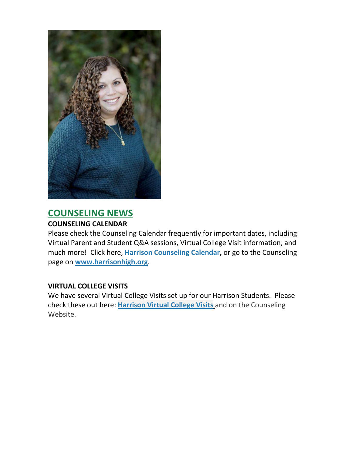

## **COUNSELING NEWS**

#### **COUNSELING CALENDAR**

Please check the Counseling Calendar frequently for important dates, including Virtual Parent and Student Q&A sessions, Virtual College Visit information, and much more! Click here, **[Harrison Counseling Calendar,](http://url503.cobbk12.org/ls/click?upn=G8An3K6JlHsR8QtKBFuzdoB1znjZkDc3Km2Sgf1PHVpycz16KMZXgXgxh3dcC-2FS8NJmdhIjRhMEVOdXvIran0PoO612nc8dPRxDRKmrySvOyPaCPkwQVxnm5P9WY4kGuByjjBLs9jX8AnVcQz2F0xdPJWUq-2BTqmbYJsClRyFwEgRo9BS-2BibqsB2DQhPPMblVqvBw_W-2BfLYUoUwwI1tuGClKRhhPOSepcZIFoXnUIMjiA717kQ1i13BNQTwwJ9cl-2BWArXr6-2FDxoCbNFrRaplJKtN7fZ6-2FE8bjPOMkMWEILWmneC546Y7LwKjlrfPb-2FCFe1e0yStZT4mHXWtxbnFhgejRWcf9DoNZWwRJaEnhOfmCmHet3i3LKAYRpRpun2S7KY8aVxs0w7F6hOnAZpWPE-2BIPLp5EislAAaPd4Yk0Hq6YwaN6xPco2x3ioGQwDAbrTNQcDujG7Y97BGPibJBrP337UaJw-3D-3D)** or go to the Counseling page on **[www.harrisonhigh.org](http://url503.cobbk12.org/ls/click?upn=oq5wnnHoD1NAxpT8rNAGXO9pgQjsMrFEdSeXOUfDN1SmFc2KsGzpApGt0h4W-2BnTi3qOMFT0pAhpU4g9jzi2oghIA-2BD5qxCmArcny4yPncCY-3D0EJS_W-2BfLYUoUwwI1tuGClKRhhPOSepcZIFoXnUIMjiA717kQ1i13BNQTwwJ9cl-2BWArXr6-2FDxoCbNFrRaplJKtN7fZ6-2FE8bjPOMkMWEILWmneC546Y7LwKjlrfPb-2FCFe1e0ySHbN6CGFZWasWa2cw7iSoCxyTiYeZb40x3XkCZSDUc949OMb3twuAP-2B5LOnI9LxGf2mKp3atRBHtDmGEvl0ZcP8ADcQu3XM5AbKxUhc2LX-2B-2FCXnBcq1nbTadxYLkKNB1MMGLrUFpBpNdd6O24P0Htww-3D-3D)**.

#### **VIRTUAL COLLEGE VISITS**

We have several Virtual College Visits set up for our Harrison Students. Please check these out here: **[Harrison Virtual College Visits](http://url503.cobbk12.org/ls/click?upn=G8An3K6JlHsR8QtKBFuzdogXPJqD3Uz2QqY8s2OfxygfiXPa-2BLVg3oKWlcUFgjTffPxwSarE77p-2FOfJTl3QvbpgPiFEQheAZA772IpRJMifiqQmDkS-2BKBGjOIoKGjM7QQDhTGARgZvMYUugThyMfc1u3H422O6jO2zhAvrxBFglXp3F6gpegHyc5A3y-2BtXoarMbtV-2FDS2nSwRHJx513wzw-3D-3Dc8Ky_W-2BfLYUoUwwI1tuGClKRhhPOSepcZIFoXnUIMjiA717kQ1i13BNQTwwJ9cl-2BWArXr6-2FDxoCbNFrRaplJKtN7fZ6-2FE8bjPOMkMWEILWmneC546Y7LwKjlrfPb-2FCFe1e0ySVTNQH2M0VNZO82qjxCkNa9499XGDVIn-2FcdSFCm7QEL3Hb4vPhtCZVNZYYSotV1UtAkcEG0cj99308D3I-2BH5MO2zP46sOMhL7ug0RrsRPo9f6e5pQA5wHOtZfwE0ux6gpoQ88fAzI9psJPUiW2YetUg-3D-3D)** and on the Counseling Website.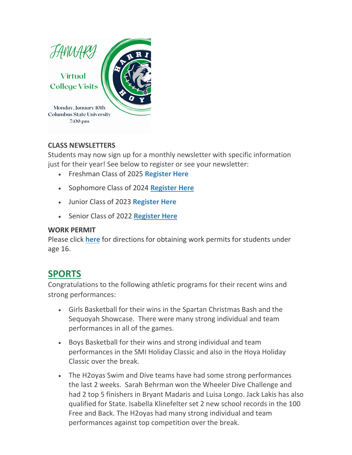

#### **CLASS NEWSLETTERS**

Students may now sign up for a monthly newsletter with specific information just for their year! See below to register or see your newsletter:

- Freshman Class of 2025 **[Register Here](http://url503.cobbk12.org/ls/click?upn=kYpeu9rJVSU1acS4VG0V9dP8zXnygu7Up5qBE7usQ1gecV2TljFL8x98-2BlIBHTra483oT8HWv3BxbUy1y3g1YeWdW9sa2LS-2F5w6HFZr3PgLxrhiZkbHoYBWQGDSdz2kXILYM-2FJ-2BSPWKqDyK12NTWkgvzxO-2FFJ9gN4PVObUCSdU1fk1yz4FmcHq9hJ3Q3Q4V6UdIBfJAXLaqHgFMyGvvd-2FpK7e9mIcvQGZo4uJhNvTc1Kji4l1I5UBDBgmW3KG31gPt9pK0vJphNQslEthlpOJHjEJ83dV8EnQ8QqVRizvq-2B5MPcjYBmTiroyon6zl6uKeDWHIHrN6Wu8XJh4Y4cbXjqkQYzI9zYOF7xv63GRoZfGtWV69kMIvjA0YXw2m9vQc3YBPUFJF1V4INUQLWdX2Sgfp2YSi9rJ38mTAEfj8zudFjqg8n0W1xgHY2UfKh8APtdPCGbZ5wDKDv2NZ4BrITyK1PYDFEcZHU23jzRAyxDJpzgbCYbd-2F-2BU-2B1W2bDsCYkKN7qXMplPZjBgyFA3Hg5z0G7krrDh-2B18mL3NEFKL9kKgpSlJnMfNJV5ZQUHinyxsfFs1lr09oTN8Quv3Ae3ma8qeN3rIzhJpWagWC5khIGIRQMW0Qm6lGoN9Kt6B7FfB0sk6WJb9SCaM4LbR0CcWA-3D-3DODxX_W-2BfLYUoUwwI1tuGClKRhhPOSepcZIFoXnUIMjiA717kQ1i13BNQTwwJ9cl-2BWArXr6-2FDxoCbNFrRaplJKtN7fZ6-2FE8bjPOMkMWEILWmneC546Y7LwKjlrfPb-2FCFe1e0ySzP3uNxiUsH5iO-2BoPLwkEVsbE72o3qRia7KLqs7DcU4-2BTcq0KkvqwInrXDLSWS6A3zxQd1yHhh1gYEpBoRBFzG6XMG0TJgcx1hR-2FWvzERMhjbAf3Xl-2FsKzLG2lydQ2FOrIBTom6JkLuP0FTSJT13tSw-3D-3D)**
- Sophomore Class of 2024 **[Register Here](http://url503.cobbk12.org/ls/click?upn=kYpeu9rJVSU1acS4VG0V9dP8zXnygu7Up5qBE7usQ1ge7I2QSEuv2APaQuIa8x0SfNNzVhu-2FzuTLLNHDo4H9B-2FS-2BoCXMUyalfdWpWAjyUrsveExMWen9qSeIHGDWfPxR-2F3l-2FazmP2ice12OKB6DjjTnz4E4bXv8tDObpjUG2o4A1jJmkswTDUwmJ6EDuccDdUh5S7WbJ4nRN5Go-2FXCDBq60js7jyIUIS9mM51HZ5GdtxuZCx2LvEeg3rEbL0cfYX7iOEl8KVI324JvbLe0d8nNv9vJo7lQMfqkpwCVrTWnqm0owKR-2F7gM2AJJ2qA675yd5FGjb9opWthaCddSWftN9O3F-2BiKwVTVr52GRjxZO8ZzXYgg-2FPinEtPc4971hQ78c0GkYJRLLtH-2FsFrPCN7zwTfMfbZ6ZNmpUmtJ8kxDWik-2FGId0aAdcnBtb3GnF5nyfzsgK24mLww-2BUs-2BGY1h9pdtERSRl-2B7tzc1puEHqrhikJxVhp-2B4jNOjbj832ycgSIq5QmQO2Z3Ch0QkMd17q1obMcqEir3nfOfj4LeviCwyOhOZjqYypwIKB9BNWeR9UBBCJwxApc2fqrk5L8RaeVYHw-3D-3DgdZQ_W-2BfLYUoUwwI1tuGClKRhhPOSepcZIFoXnUIMjiA717kQ1i13BNQTwwJ9cl-2BWArXr6-2FDxoCbNFrRaplJKtN7fZ6-2FE8bjPOMkMWEILWmneC546Y7LwKjlrfPb-2FCFe1e0ySqOcjfH296Ixj2qti-2Bby2oQNRuGOeVHWHHrp1LFlAC150toiGUL54ye1bv-2B0CSDngAaRwzqFotQRAkfPYE-2BtKwQG5akhq7N-2BbVyUNi8KeTfdVRJVZfyMFdARsFzsVfKIsHjxv-2FJwOe9w0jYLXUlS8MQ-3D-3D)**
- Junior Class of 2023 **[Register Here](http://url503.cobbk12.org/ls/click?upn=kYpeu9rJVSU1acS4VG0V9dP8zXnygu7Up5qBE7usQ1ge7I2QSEuv2APaQuIa8x0SfNNzVhu-2FzuTLLNHDo4H9B5jz3vqmyjT89r85-2FYb3p93477wgUkfjd4LozZgOBfY-2F30qwVU5XQYuoBfljRITfjOa4-2FfmDuL8g6vm3E1cPtscwIj6LmyX8OWH589a-2Fmu5XojG-2FjKzGzWHJAWGOgPIX5Os7cSkTVU-2FsS65wLCX4EuCycFVeq-2F-2FxNUPJiuKphU8wMvooHHEDMRp0tZG8eNQRO0TA2lKMOR8JUiaCLY2jC46OyqwyZchSKt818rKnE1A-2BOW-2B7TpqxtyzM-2FsoJPhVIjg8MBMLFYB-2FqxGI3gff3P-2FI8wHbjbKr04gdvcvEMjYSwci-2F6VBWP2ihFXRhfvKSIY4cdDCq-2FPekPXAaAdZuxFgxHvw6ZOz72hd97Ivtb676GF6auevKMN70YpumnWSKT5jaBAZ7021CiH6N1g7gKRb1jy0zhACOpFPynR-2BkAcWv0r-2Fay7DPrpnkoECyWhGddUwYEacyd0l8HtHpmuBQQR37KLJU6OEZ3-2FV8YoJudzVjHu1aGWugqwzaY-2FVreRKKfwrkMOnyX22jg9T234JFx7ivONt-2BznsLUAK90WupRywQpdUKO_W-2BfLYUoUwwI1tuGClKRhhPOSepcZIFoXnUIMjiA717kQ1i13BNQTwwJ9cl-2BWArXr6-2FDxoCbNFrRaplJKtN7fZ6-2FE8bjPOMkMWEILWmneC546Y7LwKjlrfPb-2FCFe1e0ySgz9IXxiEW-2By8x8ly7NOmWSKWvRR-2FBOQCm7Lp0oQUrzibT3yEi3WHAsIQiaiFDMywbzJbHVB5ySSY4dKtIwMr9CcmGQLjL12YQbR3bvX3fVwd20N0VQHtGkJ3NqotfyEWUdxyTjAruAMLlvOGA6viBw-3D-3D)**
- Senior Class of 2022 **[Register Here](http://url503.cobbk12.org/ls/click?upn=kYpeu9rJVSU1acS4VG0V9dP8zXnygu7Up5qBE7usQ1gecV2TljFL8x98-2BlIBHTra483oT8HWv3BxbUy1y3g1YeWdW9sa2LS-2F5w6HFZr3PgLxrhiZkbHoYBWQGDSdz2kXILYM-2FJ-2BSPWKqDyK12NTWkgvzxO-2FFJ9gN4PVObUCSdU1fk1yz4FmcHq9hJ3Q3Q4V6KqEqmNrfDfW6ksRHYN8qWv-2BedKj7JLVaKAH5d7e0HDQc7-2BT0LwMfJuKg9Ey78szRRVocnP1os8ukBMZkT9-2BZghfli3d8yqIXXb-2FKPPoWKZol0rSM7XdEczmCeezRV-2B6uEenAtTNqjpLHnTmZ-2F7rY6pUislNco6qzF5KEokmZsJcFukRg-2F7dDw8W-2BLfdanaYNPFmyTPLz6ISmseJCXkEctQ2Hr5k3qIdx-2Fh6Mw-2F-2BBmMfkpb98qpCyaCsmSFP4DuF6U6T96NmRDGwmqUrjHS6M7uJUIVPBGrwU0YauHgrUdl3pR8Fpkj4mLKtfj0AoaOrG9XZMt1nUhDUBXbks4AdobjfeDGt8KNGKmZdfOchfhfU8H87XVeP-2FbPTe7EGYKyXwlIHV-2FG0pi1iPYKf8ek-2B2KDkV0WR2dU2zPEsw10q-2F-2B0-2FJWwpN2hMl-2BFBcy6ZbfXqMD2IYX-2BxUJBuKJd0Un0nnVg-3D-3DtH84_W-2BfLYUoUwwI1tuGClKRhhPOSepcZIFoXnUIMjiA717kQ1i13BNQTwwJ9cl-2BWArXr6-2FDxoCbNFrRaplJKtN7fZ6-2FE8bjPOMkMWEILWmneC546Y7LwKjlrfPb-2FCFe1e0ySR4zCxW2VlHQ3bEAzJY9PgycQ2NHJ7-2BKVgUlZV31Q8fZuhIkZDfxiTA-2BA4KK5atKui37tYJWZsMdnNT8yIL43BzpOyZ5UNOAS-2BH1aNSY3WLkw2A-2FdH6b36whQgtRb5VtZ9pjIHU9VruQFqxnjVeZFwA-3D-3D)**

#### **WORK PERMIT**

Please click **[here](http://url503.cobbk12.org/ls/click?upn=HU5K2q0Fz5ADTGboxPzOzV-2FXL0qE7BYVJk79MoYchragV5467tisWoPAB9agzSUHDsbqBYccGjiUhV-2FDTHAbpapsLFisWAfYtS-2FB87HhzALBJIiH1yo6DrPdn5r31JRcfdu3_W-2BfLYUoUwwI1tuGClKRhhPOSepcZIFoXnUIMjiA717kQ1i13BNQTwwJ9cl-2BWArXr6-2FDxoCbNFrRaplJKtN7fZ6-2FE8bjPOMkMWEILWmneC546Y7LwKjlrfPb-2FCFe1e0ySnHdr8MgRyL58f86k8jDaScCSWaiQBh-2F664ggWaCSszP6sAbhdFfF5GgSyfkL-2FObBpNUvuV3kIYu0SXTTvQn7WF37BCg8b9Qv86rcoyo0imqoihmpSVh3unaz4hNrwj9u2fY5g5J8R4-2Bl77KfKt7KGw-3D-3D)** for directions for obtaining work permits for students under age 16.

## **SPORTS**

Congratulations to the following athletic programs for their recent wins and strong performances:

- Girls Basketball for their wins in the Spartan Christmas Bash and the Sequoyah Showcase. There were many strong individual and team performances in all of the games.
- Boys Basketball for their wins and strong individual and team performances in the SMI Holiday Classic and also in the Hoya Holiday Classic over the break.
- The H2oyas Swim and Dive teams have had some strong performances the last 2 weeks. Sarah Behrman won the Wheeler Dive Challenge and had 2 top 5 finishers in Bryant Madaris and Luisa Longo. Jack Lakis has also qualified for State. Isabella Klinefelter set 2 new school records in the 100 Free and Back. The H2oyas had many strong individual and team performances against top competition over the break.